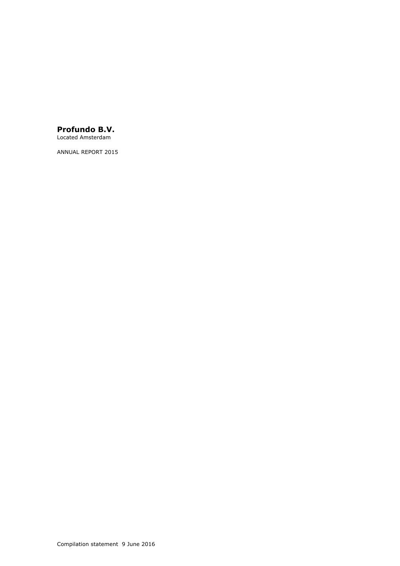# **Profundo B.V.**

Located Amsterdam

ANNUAL REPORT 2015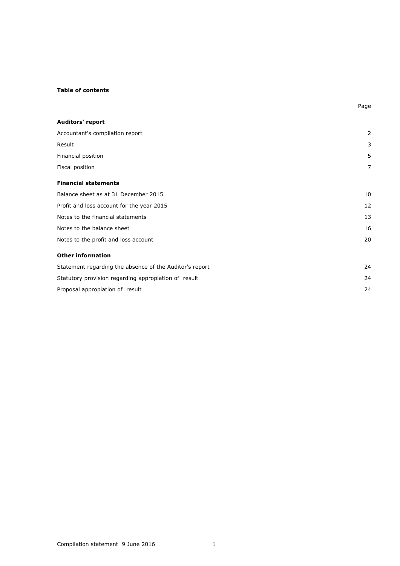## **Table of contents**

| <b>Auditors' report</b>                                 |    |
|---------------------------------------------------------|----|
| Accountant's compilation report                         | 2  |
| Result                                                  | 3  |
| Financial position                                      | 5  |
| Fiscal position                                         | 7  |
| <b>Financial statements</b>                             |    |
| Balance sheet as at 31 December 2015                    | 10 |
| Profit and loss account for the year 2015               | 12 |
| Notes to the financial statements                       | 13 |
| Notes to the balance sheet                              | 16 |
| Notes to the profit and loss account                    | 20 |
| <b>Other information</b>                                |    |
| Statement regarding the absence of the Auditor's report | 24 |
| Statutory provision regarding appropiation of result    | 24 |
| Proposal appropiation of result                         | 24 |

Page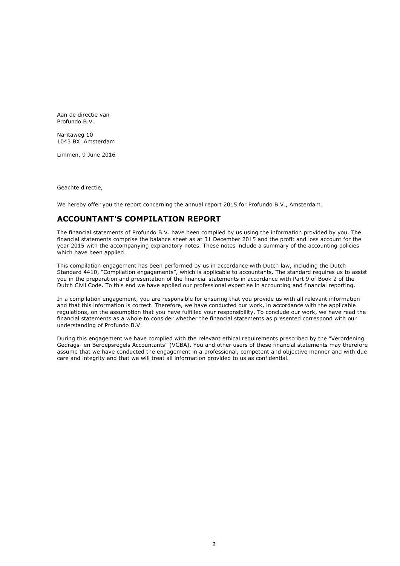Aan de directie van Profundo B.V.

Naritaweg 10 1043 BX Amsterdam

Limmen, 9 June 2016

Geachte directie,

We hereby offer you the report concerning the annual report 2015 for Profundo B.V., Amsterdam.

# **ACCOUNTANT'S COMPILATION REPORT**

The financial statements of Profundo B.V. have been compiled by us using the information provided by you. The financial statements comprise the balance sheet as at 31 December 2015 and the profit and loss account for the year 2015 with the accompanying explanatory notes. These notes include a summary of the accounting policies which have been applied.

This compilation engagement has been performed by us in accordance with Dutch law, including the Dutch Standard 4410, "Compilation engagements", which is applicable to accountants. The standard requires us to assist you in the preparation and presentation of the financial statements in accordance with Part 9 of Book 2 of the Dutch Civil Code. To this end we have applied our professional expertise in accounting and financial reporting.

In a compilation engagement, you are responsible for ensuring that you provide us with all relevant information and that this information is correct. Therefore, we have conducted our work, in accordance with the applicable regulations, on the assumption that you have fulfilled your responsibility. To conclude our work, we have read the financial statements as a whole to consider whether the financial statements as presented correspond with our understanding of Profundo B.V.

During this engagement we have complied with the relevant ethical requirements prescribed by the "Verordening Gedrags- en Beroepsregels Accountants" (VGBA). You and other users of these financial statements may therefore assume that we have conducted the engagement in a professional, competent and objective manner and with due care and integrity and that we will treat all information provided to us as confidential.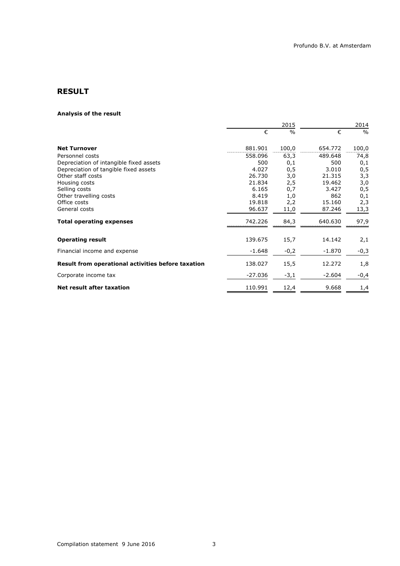# **RESULT**

### **Analysis of the result**

|                                                    |           | 2015          |          | 2014          |  |
|----------------------------------------------------|-----------|---------------|----------|---------------|--|
|                                                    | €         | $\frac{0}{0}$ | €        | $\frac{0}{0}$ |  |
| <b>Net Turnover</b>                                | 881.901   | 100,0         | 654.772  | 100,0         |  |
| Personnel costs                                    | 558.096   | 63,3          | 489.648  | 74,8          |  |
| Depreciation of intangible fixed assets            | 500       | 0,1           | 500      | 0,1           |  |
| Depreciation of tangible fixed assets              | 4.027     | 0,5           | 3.010    | 0,5           |  |
| Other staff costs                                  | 26.730    | 3,0           | 21.315   | 3,3           |  |
| Housing costs                                      | 21.834    | 2,5           | 19.462   | 3,0           |  |
| Selling costs                                      | 6.165     | 0,7           | 3.427    | 0,5           |  |
| Other travelling costs                             | 8.419     | 1,0           | 862      | 0,1           |  |
| Office costs                                       | 19.818    | 2,2           | 15.160   | 2,3           |  |
| General costs                                      | 96.637    | 11,0          | 87.246   | 13,3          |  |
| <b>Total operating expenses</b>                    | 742.226   | 84,3          | 640.630  | 97,9          |  |
| <b>Operating result</b>                            | 139.675   | 15,7          | 14.142   | 2,1           |  |
| Financial income and expense                       | $-1.648$  | $-0,2$        | $-1.870$ | $-0,3$        |  |
| Result from operational activities before taxation | 138.027   | 15,5          | 12.272   | 1,8           |  |
| Corporate income tax                               | $-27.036$ | $-3,1$        | $-2.604$ | $-0,4$        |  |
| <b>Net result after taxation</b>                   | 110.991   | 12,4          | 9.668    | 1,4           |  |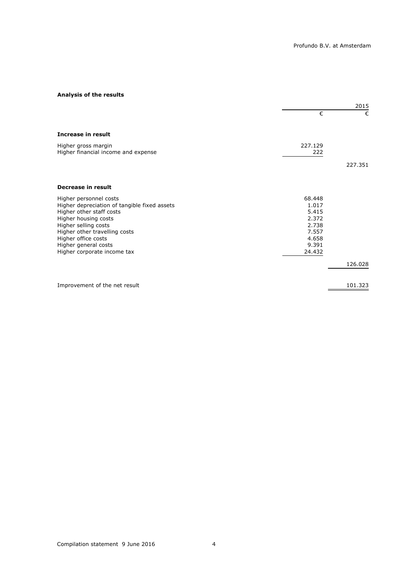## **Analysis of the results**

|                                                            |                | 2015    |
|------------------------------------------------------------|----------------|---------|
|                                                            | €              | €       |
| Increase in result                                         |                |         |
| Higher gross margin<br>Higher financial income and expense | 227.129<br>222 |         |
|                                                            |                | 227.351 |
| <b>Decrease in result</b>                                  |                |         |
| Higher personnel costs                                     | 68.448         |         |
| Higher depreciation of tangible fixed assets               | 1.017<br>5.415 |         |
| Higher other staff costs<br>Higher housing costs           | 2.372          |         |
| Higher selling costs                                       | 2.738          |         |
| Higher other travelling costs                              | 7.557          |         |
| Higher office costs                                        | 4.658          |         |
| Higher general costs                                       | 9.391          |         |
| Higher corporate income tax                                | 24.432         |         |
|                                                            |                | 126.028 |
| Improvement of the net result                              |                | 101.323 |
|                                                            |                |         |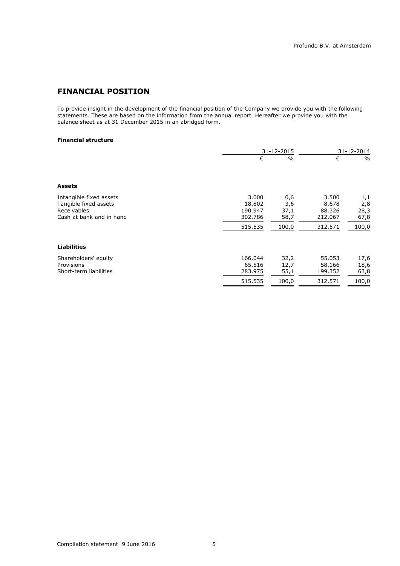# **FINANCIAL POSITION**

To provide insight in the development of the financial position of the Company we provide you with the following statements. These are based on the information from the annual report. Hereafter we provide you with the balance sheet as at 31 December 2015 in an abridged form.

### **Financial structure**

|                                                                                             |                                                  | 31-12-2015                          |                                                | 31-12-2014                          |
|---------------------------------------------------------------------------------------------|--------------------------------------------------|-------------------------------------|------------------------------------------------|-------------------------------------|
|                                                                                             | €                                                | $\frac{0}{0}$                       | €                                              | $\%$                                |
| <b>Assets</b>                                                                               |                                                  |                                     |                                                |                                     |
| Intangible fixed assets<br>Tangible fixed assets<br>Receivables<br>Cash at bank and in hand | 3.000<br>18.802<br>190.947<br>302.786<br>515.535 | 0,6<br>3,6<br>37,1<br>58,7<br>100,0 | 3.500<br>8.678<br>88.326<br>212.067<br>312.571 | 1,1<br>2,8<br>28,3<br>67,8<br>100,0 |
| <b>Liabilities</b>                                                                          |                                                  |                                     |                                                |                                     |
| Shareholders' equity<br>Provisions<br>Short-term liabilities                                | 166.044<br>65.516<br>283.975<br>515.535          | 32,2<br>12,7<br>55,1<br>100,0       | 55.053<br>58.166<br>199.352<br>312.571         | 17,6<br>18,6<br>63,8<br>100,0       |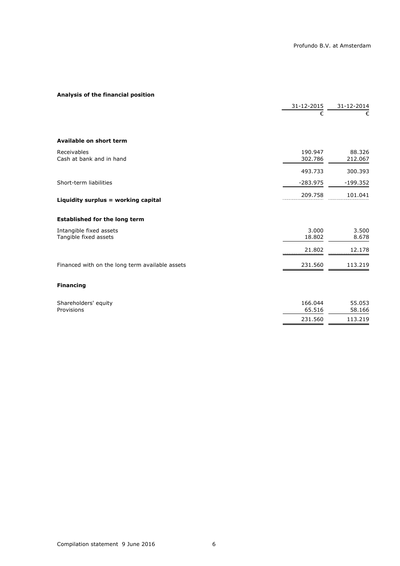# **Analysis of the financial position**

|                                                  | 31-12-2015         | 31-12-2014        |
|--------------------------------------------------|--------------------|-------------------|
|                                                  | €                  | €                 |
| Available on short term                          |                    |                   |
| Receivables<br>Cash at bank and in hand          | 190.947<br>302.786 | 88.326<br>212.067 |
|                                                  | 493.733            | 300.393           |
| Short-term liabilities                           | $-283.975$         | $-199.352$        |
| Liquidity surplus = working capital              | 209.758            | 101.041           |
| <b>Established for the long term</b>             |                    |                   |
| Intangible fixed assets<br>Tangible fixed assets | 3.000<br>18.802    | 3.500<br>8.678    |
|                                                  | 21.802             | 12.178            |
| Financed with on the long term available assets  | 231.560            | 113.219           |
| <b>Financing</b>                                 |                    |                   |
| Shareholders' equity<br>Provisions               | 166.044<br>65.516  | 55.053<br>58.166  |
|                                                  | 231.560            | 113.219           |
|                                                  |                    |                   |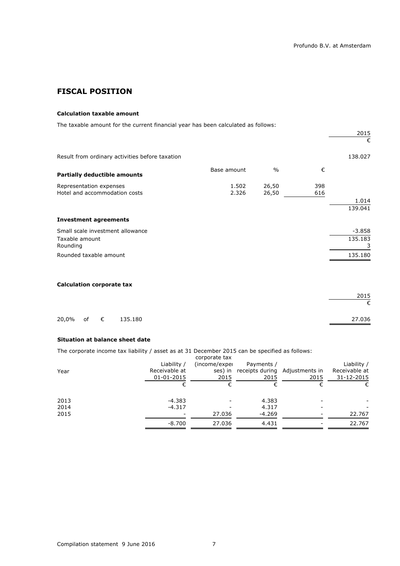# **FISCAL POSITION**

### **Calculation taxable amount**

The taxable amount for the current financial year has been calculated as follows:

|                                                 |             |               |     | 2015     |
|-------------------------------------------------|-------------|---------------|-----|----------|
|                                                 |             |               |     | €        |
| Result from ordinary activities before taxation |             |               |     | 138.027  |
| <b>Partially deductible amounts</b>             | Base amount | $\frac{0}{0}$ | €   |          |
| Representation expenses                         | 1.502       | 26,50         | 398 |          |
| Hotel and accommodation costs                   | 2.326       | 26,50         | 616 |          |
|                                                 |             |               |     | 1.014    |
|                                                 |             |               |     | 139.041  |
| <b>Investment agreements</b>                    |             |               |     |          |
| Small scale investment allowance                |             |               |     | $-3.858$ |
| Taxable amount                                  |             |               |     | 135.183  |
| Rounding                                        |             |               |     |          |
| Rounded taxable amount                          |             |               |     | 135.180  |
|                                                 |             |               |     |          |
|                                                 |             |               |     |          |

## **Calculation corporate tax**

|  |                    | 2015   |
|--|--------------------|--------|
|  |                    |        |
|  |                    |        |
|  | 20,0% of € 135.180 | 27.036 |

### **Situation at balance sheet date**

The corporate income tax liability / asset as at 31 December 2015 can be specified as follows:

|      |               | corporate tax |                                        |      |               |
|------|---------------|---------------|----------------------------------------|------|---------------|
|      | Liability /   | (income/exper | Payments /                             |      | Liability /   |
| Year | Receivable at |               | ses) in receipts during Adjustments in |      | Receivable at |
|      | 01-01-2015    | 2015          | 2015                                   | 2015 | 31-12-2015    |
|      | €             |               |                                        |      | €             |
| 2013 | $-4.383$      |               | 4.383                                  |      |               |
| 2014 | $-4.317$      |               | 4.317                                  |      |               |
| 2015 |               | 27.036        | $-4.269$                               |      | 22.767        |
|      | $-8.700$      | 27.036        | 4.431                                  |      | 22.767        |
|      |               |               |                                        |      |               |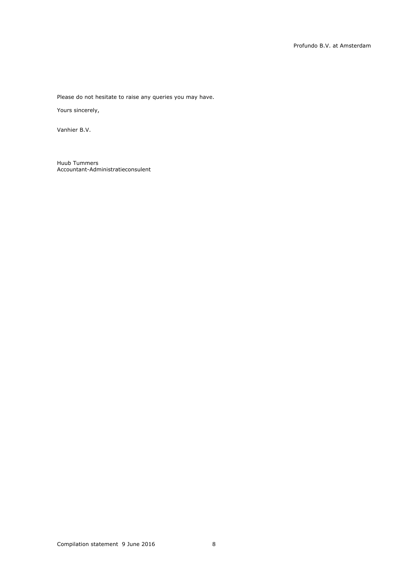Please do not hesitate to raise any queries you may have.

Yours sincerely,

Vanhier B.V.

Huub Tummers Accountant-Administratieconsulent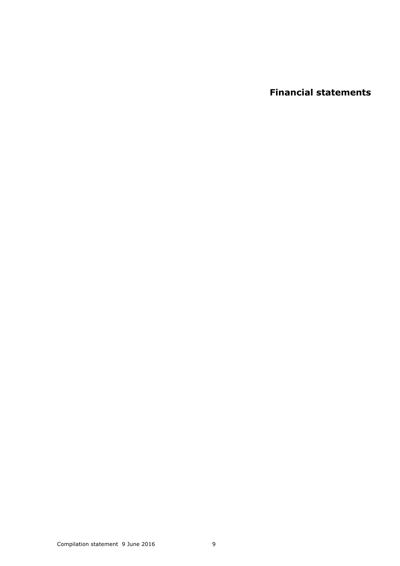**Financial statements**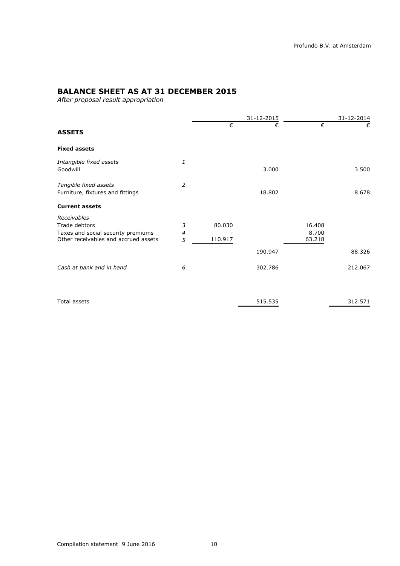# **BALANCE SHEET AS AT 31 DECEMBER 2015**

*After proposal result appropriation*

|                                                           |                |            | 31-12-2015 |        | 31-12-2014 |
|-----------------------------------------------------------|----------------|------------|------------|--------|------------|
| <b>ASSETS</b>                                             |                | $\epsilon$ | €          | €      | €          |
| <b>Fixed assets</b>                                       |                |            |            |        |            |
| Intangible fixed assets<br>Goodwill                       | 1              |            | 3.000      |        | 3.500      |
| Tangible fixed assets<br>Furniture, fixtures and fittings | $\overline{2}$ |            | 18.802     |        | 8.678      |
| <b>Current assets</b>                                     |                |            |            |        |            |
| Receivables                                               |                |            |            |        |            |
| Trade debtors                                             | 3              | 80.030     |            | 16.408 |            |
| Taxes and social security premiums                        | 4              |            |            | 8.700  |            |
| Other receivables and accrued assets                      | 5              | 110.917    |            | 63.218 |            |
|                                                           |                |            | 190.947    |        | 88.326     |
| Cash at bank and in hand                                  | 6              |            | 302.786    |        | 212.067    |
|                                                           |                |            |            |        |            |

Total assets 312.571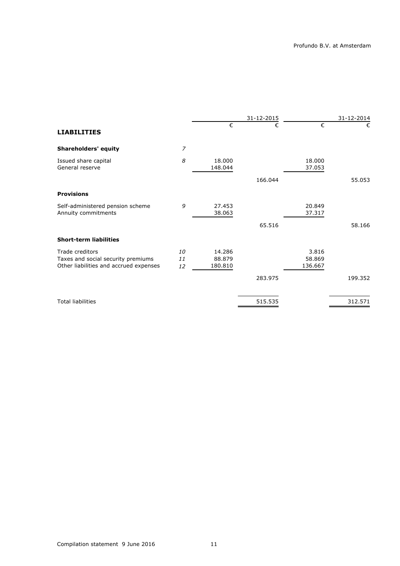|                |                             | 31-12-2015 |                            | 31-12-2014 |
|----------------|-----------------------------|------------|----------------------------|------------|
|                | €                           | €          | €                          | €          |
| $\overline{z}$ |                             |            |                            |            |
| 8              | 18.000<br>148.044           |            | 18,000<br>37.053           |            |
|                |                             | 166.044    |                            | 55.053     |
|                |                             |            |                            |            |
| 9              | 27.453<br>38.063            |            | 20.849<br>37.317           |            |
|                |                             | 65.516     |                            | 58.166     |
|                |                             |            |                            |            |
| 10<br>11<br>12 | 14.286<br>88.879<br>180.810 |            | 3.816<br>58.869<br>136.667 |            |
|                |                             | 283.975    |                            | 199.352    |
|                |                             | 515.535    |                            | 312.571    |
|                |                             |            |                            |            |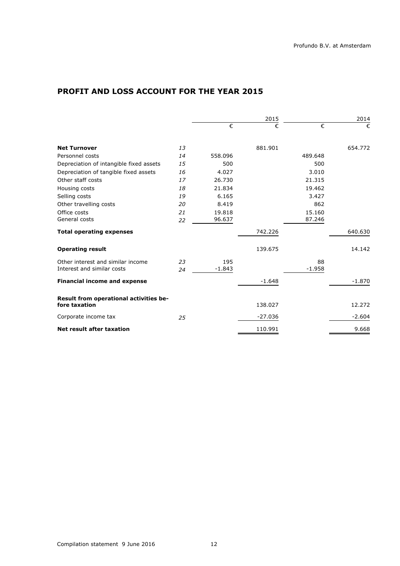# **PROFIT AND LOSS ACCOUNT FOR THE YEAR 2015**

|    |          | 2015      |          |          |
|----|----------|-----------|----------|----------|
|    | €        | €         | €        | €        |
| 13 |          | 881.901   |          | 654.772  |
| 14 | 558.096  |           | 489.648  |          |
| 15 | 500      |           | 500      |          |
| 16 | 4.027    |           | 3.010    |          |
| 17 | 26.730   |           | 21.315   |          |
| 18 | 21.834   |           | 19.462   |          |
| 19 | 6.165    |           | 3.427    |          |
| 20 | 8.419    |           | 862      |          |
| 21 | 19.818   |           | 15.160   |          |
| 22 |          |           |          |          |
|    |          | 742.226   |          | 640.630  |
|    |          | 139.675   |          | 14.142   |
| 23 | 195      |           | 88       |          |
| 24 | $-1.843$ |           | $-1.958$ |          |
|    |          | $-1.648$  |          | $-1.870$ |
|    |          | 138.027   |          | 12.272   |
| 25 |          | $-27.036$ |          | $-2.604$ |
|    |          | 110.991   |          | 9.668    |
|    |          | 96.637    |          | 87.246   |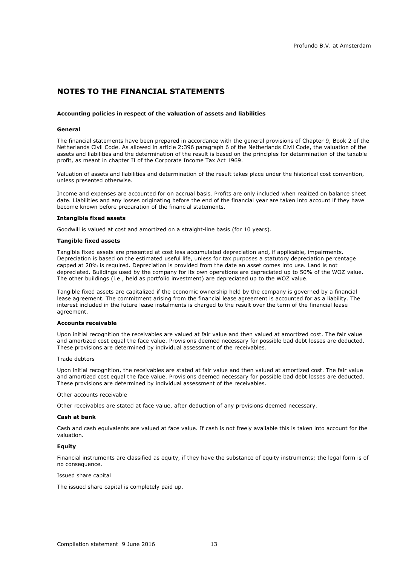# **NOTES TO THE FINANCIAL STATEMENTS**

#### **Accounting policies in respect of the valuation of assets and liabilities**

#### **General**

The financial statements have been prepared in accordance with the general provisions of Chapter 9, Book 2 of the Netherlands Civil Code. As allowed in article 2:396 paragraph 6 of the Netherlands Civil Code, the valuation of the assets and liabilities and the determination of the result is based on the principles for determination of the taxable profit, as meant in chapter II of the Corporate Income Tax Act 1969.

Valuation of assets and liabilities and determination of the result takes place under the historical cost convention, unless presented otherwise.

Income and expenses are accounted for on accrual basis. Profits are only included when realized on balance sheet date. Liabilities and any losses originating before the end of the financial year are taken into account if they have become known before preparation of the financial statements.

#### **Intangible fixed assets**

Goodwill is valued at cost and amortized on a straight-line basis (for 10 years).

#### **Tangible fixed assets**

Tangible fixed assets are presented at cost less accumulated depreciation and, if applicable, impairments. Depreciation is based on the estimated useful life, unless for tax purposes a statutory depreciation percentage capped at 20% is required. Depreciation is provided from the date an asset comes into use. Land is not depreciated. Buildings used by the company for its own operations are depreciated up to 50% of the WOZ value. The other buildings (i.e., held as portfolio investment) are depreciated up to the WOZ value.

Tangible fixed assets are capitalized if the economic ownership held by the company is governed by a financial lease agreement. The commitment arising from the financial lease agreement is accounted for as a liability. The interest included in the future lease instalments is charged to the result over the term of the financial lease agreement.

#### **Accounts receivable**

Upon initial recognition the receivables are valued at fair value and then valued at amortized cost. The fair value and amortized cost equal the face value. Provisions deemed necessary for possible bad debt losses are deducted. These provisions are determined by individual assessment of the receivables.

#### Trade debtors

Upon initial recognition, the receivables are stated at fair value and then valued at amortized cost. The fair value and amortized cost equal the face value. Provisions deemed necessary for possible bad debt losses are deducted. These provisions are determined by individual assessment of the receivables.

#### Other accounts receivable

Other receivables are stated at face value, after deduction of any provisions deemed necessary.

#### **Cash at bank**

Cash and cash equivalents are valued at face value. If cash is not freely available this is taken into account for the valuation.

#### **Equity**

Financial instruments are classified as equity, if they have the substance of equity instruments; the legal form is of no consequence.

#### Issued share capital

The issued share capital is completely paid up.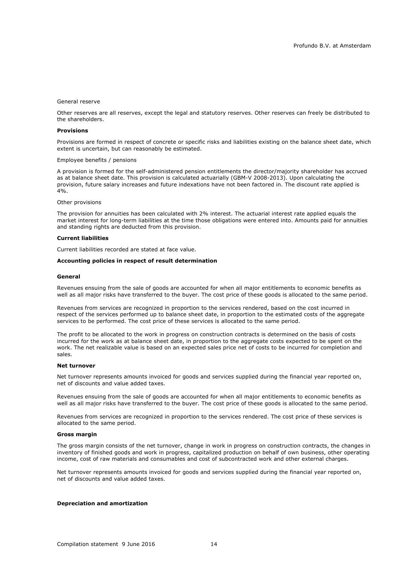#### General reserve

Other reserves are all reserves, except the legal and statutory reserves. Other reserves can freely be distributed to the shareholders.

#### **Provisions**

Provisions are formed in respect of concrete or specific risks and liabilities existing on the balance sheet date, which extent is uncertain, but can reasonably be estimated.

#### Employee benefits / pensions

A provision is formed for the self-administered pension entitlements the director/majority shareholder has accrued as at balance sheet date. This provision is calculated actuarially (GBM-V 2008-2013). Upon calculating the provision, future salary increases and future indexations have not been factored in. The discount rate applied is  $4\%$ .

#### Other provisions

The provision for annuities has been calculated with 2% interest. The actuarial interest rate applied equals the market interest for long-term liabilities at the time those obligations were entered into. Amounts paid for annuities and standing rights are deducted from this provision.

### **Current liabilities**

Current liabilities recorded are stated at face value.

#### **Accounting policies in respect of result determination**

#### **General**

Revenues ensuing from the sale of goods are accounted for when all major entitlements to economic benefits as well as all major risks have transferred to the buyer. The cost price of these goods is allocated to the same period.

Revenues from services are recognized in proportion to the services rendered, based on the cost incurred in respect of the services performed up to balance sheet date, in proportion to the estimated costs of the aggregate services to be performed. The cost price of these services is allocated to the same period.

The profit to be allocated to the work in progress on construction contracts is determined on the basis of costs incurred for the work as at balance sheet date, in proportion to the aggregate costs expected to be spent on the work. The net realizable value is based on an expected sales price net of costs to be incurred for completion and sales.

#### **Net turnover**

Net turnover represents amounts invoiced for goods and services supplied during the financial year reported on, net of discounts and value added taxes.

Revenues ensuing from the sale of goods are accounted for when all major entitlements to economic benefits as well as all major risks have transferred to the buyer. The cost price of these goods is allocated to the same period.

Revenues from services are recognized in proportion to the services rendered. The cost price of these services is allocated to the same period.

#### **Gross margin**

The gross margin consists of the net turnover, change in work in progress on construction contracts, the changes in inventory of finished goods and work in progress, capitalized production on behalf of own business, other operating income, cost of raw materials and consumables and cost of subcontracted work and other external charges.

Net turnover represents amounts invoiced for goods and services supplied during the financial year reported on, net of discounts and value added taxes.

#### **Depreciation and amortization**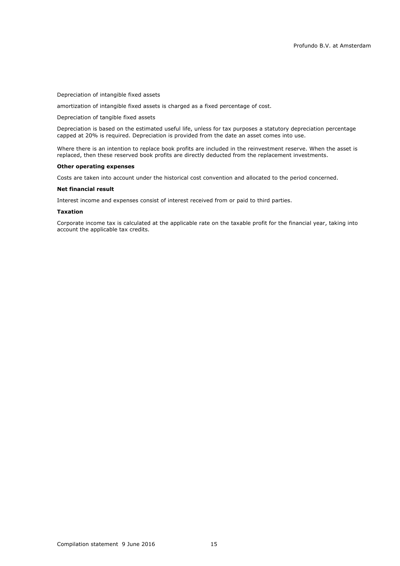Depreciation of intangible fixed assets

amortization of intangible fixed assets is charged as a fixed percentage of cost.

Depreciation of tangible fixed assets

Depreciation is based on the estimated useful life, unless for tax purposes a statutory depreciation percentage capped at 20% is required. Depreciation is provided from the date an asset comes into use.

Where there is an intention to replace book profits are included in the reinvestment reserve. When the asset is replaced, then these reserved book profits are directly deducted from the replacement investments.

#### **Other operating expenses**

Costs are taken into account under the historical cost convention and allocated to the period concerned.

#### **Net financial result**

Interest income and expenses consist of interest received from or paid to third parties.

#### **Taxation**

Corporate income tax is calculated at the applicable rate on the taxable profit for the financial year, taking into account the applicable tax credits.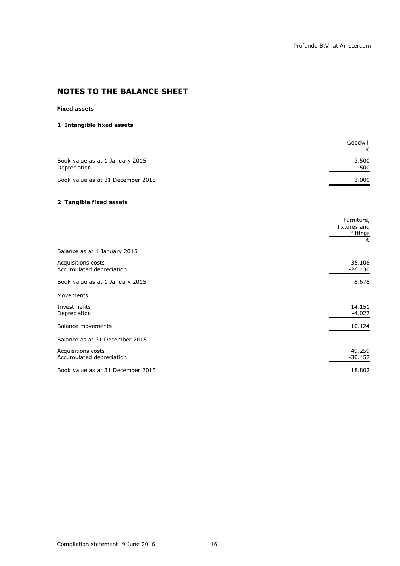# **NOTES TO THE BALANCE SHEET**

## **Fixed assets**

## **1 Intangible fixed assets**

|                                                 | Goodwill        |
|-------------------------------------------------|-----------------|
|                                                 |                 |
| Book value as at 1 January 2015<br>Depreciation | 3.500<br>$-500$ |
| Book value as at 31 December 2015               | 3.000           |

## **2 Tangible fixed assets**

|                                                | Furniture,<br>fixtures and<br>fittings<br>€ |
|------------------------------------------------|---------------------------------------------|
| Balance as at 1 January 2015                   |                                             |
| Acquisitions costs<br>Accumulated depreciation | 35.108<br>$-26.430$                         |
| Book value as at 1 January 2015                | 8.678                                       |
| Movements                                      |                                             |
| Investments<br>Depreciation                    | 14.151<br>$-4.027$                          |
| <b>Balance movements</b>                       | 10.124                                      |
| Balance as at 31 December 2015                 |                                             |
| Acquisitions costs<br>Accumulated depreciation | 49.259<br>$-30.457$                         |
| Book value as at 31 December 2015              | 18.802                                      |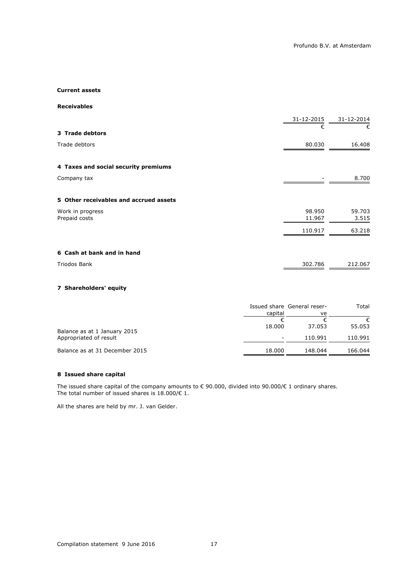### **Current assets**

**Receivables**

|                                        | 31-12-2015       | 31-12-2014      |
|----------------------------------------|------------------|-----------------|
| 3 Trade debtors                        | €                | €               |
| Trade debtors                          | 80.030           | 16.408          |
| 4 Taxes and social security premiums   |                  |                 |
| Company tax                            |                  | 8.700           |
| 5 Other receivables and accrued assets |                  |                 |
| Work in progress<br>Prepaid costs      | 98.950<br>11.967 | 59.703<br>3.515 |
|                                        | 110.917          | 63.218          |
| 6 Cash at bank and in hand             |                  |                 |
| <b>Triodos Bank</b>                    | 302.786          | 212.067         |
| 7 Shareholders' equity                 |                  |                 |

|                                | capital | Issued share General reser-<br>ve | Total       |
|--------------------------------|---------|-----------------------------------|-------------|
| Balance as at 1 January 2015   | 18,000  | 37.053                            | €<br>55.053 |
| Appropriated of result         |         | 110.991                           | 110.991     |
| Balance as at 31 December 2015 | 18.000  | 148.044                           | 166.044     |

## **8 Issued share capital**

The issued share capital of the company amounts to  $\epsilon$  90.000, divided into 90.000/ $\epsilon$  1 ordinary shares. The total number of issued shares is  $18.000 \times 1$ .

All the shares are held by mr. J. van Gelder.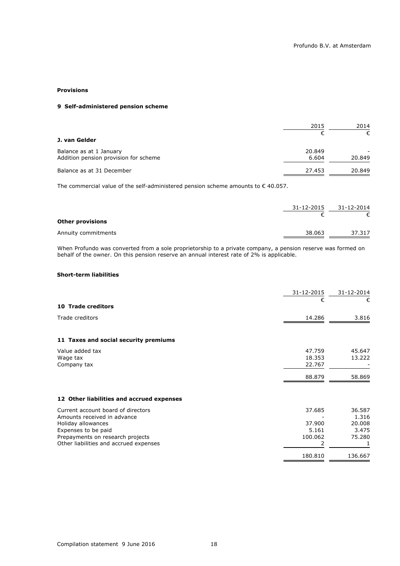### **Provisions**

## **9 Self-administered pension scheme**

|                                                                  | 2015            | 2014        |
|------------------------------------------------------------------|-----------------|-------------|
| J. van Gelder                                                    |                 | €           |
| Balance as at 1 January<br>Addition pension provision for scheme | 20.849<br>6.604 | -<br>20.849 |
| Balance as at 31 December                                        | 27.453          | 20.849      |

The commercial value of the self-administered pension scheme amounts to  $\epsilon$  40.057.

|                         | 31-12-2015 | 31-12-2014 |
|-------------------------|------------|------------|
| <b>Other provisions</b> |            |            |
| Annuity commitments     | 38.063     | 37.317     |

When Profundo was converted from a sole proprietorship to a private company, a pension reserve was formed on behalf of the owner. On this pension reserve an annual interest rate of 2% is applicable.

## **Short-term liabilities**

|                                           | 31-12-2015 | 31-12-2014 |
|-------------------------------------------|------------|------------|
| <b>10 Trade creditors</b>                 | €          | €          |
| Trade creditors                           | 14.286     | 3.816      |
|                                           |            |            |
| 11 Taxes and social security premiums     |            |            |
| Value added tax                           | 47.759     | 45.647     |
| Wage tax                                  | 18.353     | 13.222     |
| Company tax                               | 22.767     |            |
|                                           | 88.879     | 58.869     |
|                                           |            |            |
| 12 Other liabilities and accrued expenses |            |            |
| Current account board of directors        | 37.685     | 36.587     |
| Amounts received in advance               |            | 1.316      |
| Holiday allowances                        | 37.900     | 20,008     |
| Expenses to be paid                       | 5.161      | 3.475      |
| Prepayments on research projects          | 100.062    | 75.280     |
| Other liabilities and accrued expenses    | 2          |            |
|                                           | 180.810    | 136.667    |
|                                           |            |            |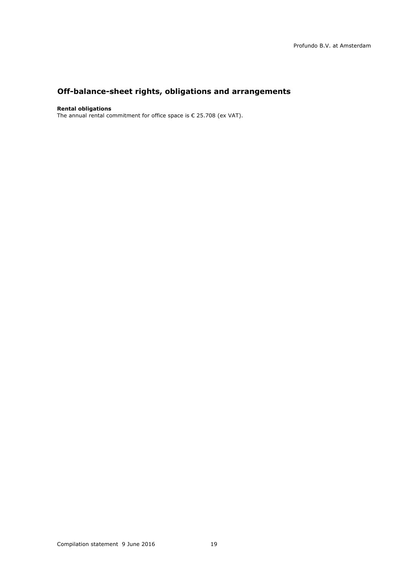# **Off-balance-sheet rights, obligations and arrangements**

### **Rental obligations**

The annual rental commitment for office space is € 25.708 (ex VAT).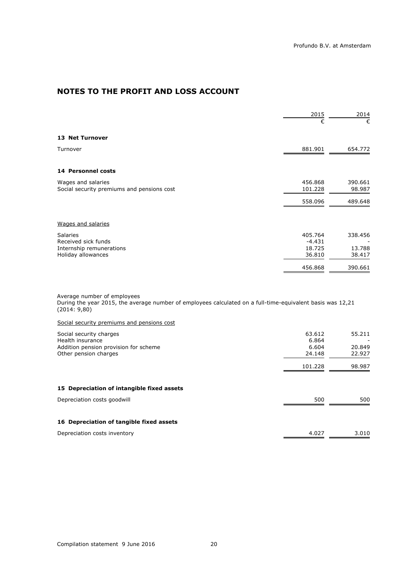# **NOTES TO THE PROFIT AND LOSS ACCOUNT**

|                                            | 2015     | 2014    |
|--------------------------------------------|----------|---------|
|                                            | €        | €       |
| <b>13 Net Turnover</b>                     |          |         |
| Turnover                                   | 881.901  | 654.772 |
|                                            |          |         |
| <b>14 Personnel costs</b>                  |          |         |
| Wages and salaries                         | 456.868  | 390.661 |
| Social security premiums and pensions cost | 101.228  | 98.987  |
|                                            | 558.096  | 489.648 |
| Wages and salaries                         |          |         |
| <b>Salaries</b>                            | 405.764  | 338.456 |
| Received sick funds                        | $-4.431$ |         |
| Internship remunerations                   | 18.725   | 13.788  |
| Holiday allowances                         | 36.810   | 38.417  |
|                                            | 456.868  | 390.661 |

Average number of employees During the year 2015, the average number of employees calculated on a full-time-equivalent basis was 12,21 (2014: 9,80)

Social security premiums and pensions cost

| Social security charges<br>Health insurance<br>Addition pension provision for scheme<br>Other pension charges | 63.612<br>6.864<br>6.604<br>24.148 | 55.211<br>20.849<br>22.927 |
|---------------------------------------------------------------------------------------------------------------|------------------------------------|----------------------------|
|                                                                                                               | 101.228                            | 98.987                     |
| 15 Depreciation of intangible fixed assets                                                                    |                                    |                            |
| Depreciation costs goodwill                                                                                   | 500                                | 500                        |
| 16 Depreciation of tangible fixed assets                                                                      |                                    |                            |
| Depreciation costs inventory                                                                                  | 4.027                              | 3.010                      |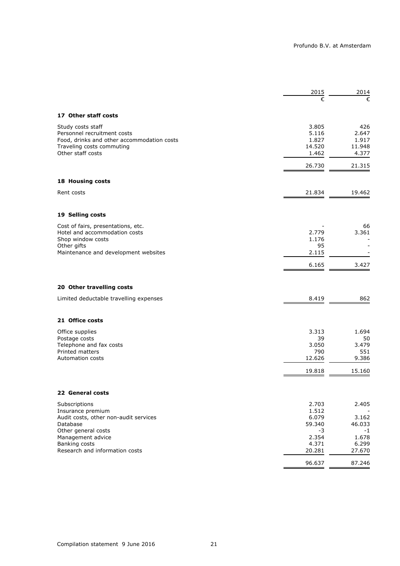|                                                 | 2015            | 2014            |
|-------------------------------------------------|-----------------|-----------------|
|                                                 | €               | €               |
| 17 Other staff costs                            |                 |                 |
| Study costs staff                               | 3.805           | 426             |
| Personnel recruitment costs                     | 5.116           | 2.647           |
| Food, drinks and other accommodation costs      | 1.827           | 1.917           |
| Traveling costs commuting<br>Other staff costs  | 14.520<br>1.462 | 11.948<br>4.377 |
|                                                 |                 |                 |
|                                                 | 26.730          | 21.315          |
| 18 Housing costs                                |                 |                 |
| Rent costs                                      | 21.834          | 19.462          |
| 19 Selling costs                                |                 |                 |
| Cost of fairs, presentations, etc.              |                 | 66              |
| Hotel and accommodation costs                   | 2.779           | 3.361           |
| Shop window costs                               | 1.176           |                 |
| Other gifts                                     | 95              |                 |
| Maintenance and development websites            | 2.115           |                 |
|                                                 | 6.165           | 3.427           |
| 20 Other travelling costs                       |                 |                 |
| Limited deductable travelling expenses          | 8.419           | 862             |
| 21 Office costs                                 |                 |                 |
| Office supplies                                 | 3.313           | 1.694           |
| Postage costs                                   | 39              | 50              |
| Telephone and fax costs                         | 3.050           | 3.479           |
| Printed matters                                 | 790             | 551             |
| Automation costs                                | 12.626          | 9.386           |
|                                                 | 19.818          | 15.160          |
| 22 General costs                                |                 |                 |
| Subscriptions                                   | 2.703           | 2.405           |
| Insurance premium                               | 1.512           |                 |
| Audit costs, other non-audit services           | 6.079           | 3.162           |
| Database                                        | 59.340          | 46.033          |
| Other general costs                             | -3              | $-1$            |
| Management advice                               | 2.354           | 1.678           |
| Banking costs<br>Research and information costs | 4.371<br>20.281 | 6.299<br>27.670 |
|                                                 | 96.637          | 87.246          |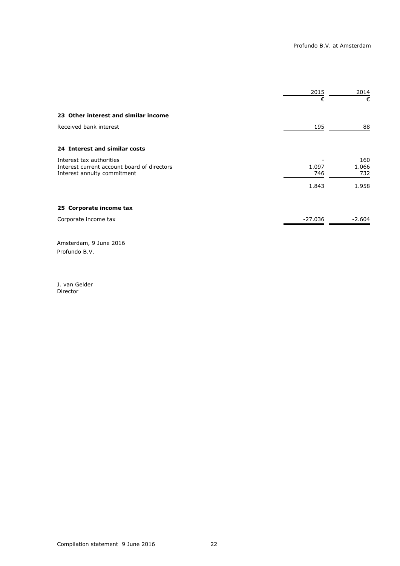|                                                                            | 2015         | 2014         |
|----------------------------------------------------------------------------|--------------|--------------|
|                                                                            | €            | €            |
| 23 Other interest and similar income                                       |              |              |
| Received bank interest                                                     | 195          | 88           |
| 24 Interest and similar costs                                              |              |              |
| Interest tax authorities                                                   |              | 160          |
| Interest current account board of directors<br>Interest annuity commitment | 1.097<br>746 | 1.066<br>732 |
|                                                                            | 1.843        | 1.958        |
| 25 Corporate income tax                                                    |              |              |
| Corporate income tax                                                       | $-27.036$    | $-2.604$     |
|                                                                            |              |              |

Amsterdam, 9 June 2016 Profundo B.V.

J. van Gelder **Director**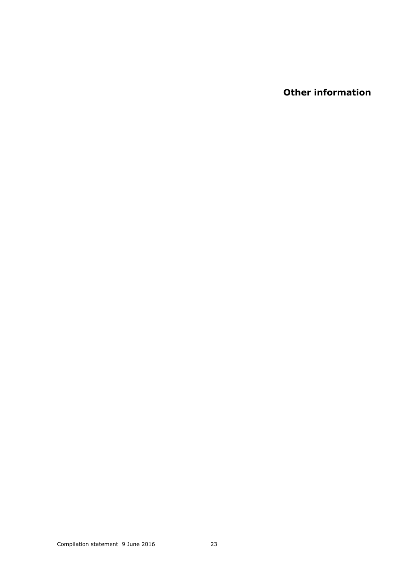**Other information**